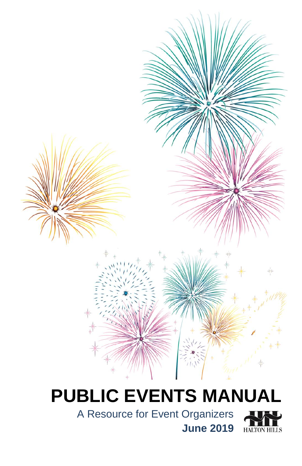# **PUBLIC EVENTS MANUAL**

A Resource for Event Organizers



**June 2019**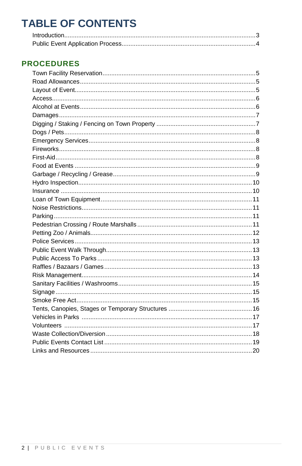# **TABLE OF CONTENTS**

### **PROCEDURES**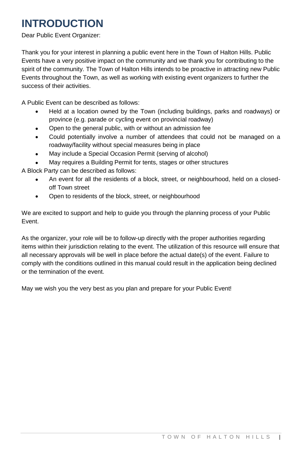## **INTRODUCTION**

Dear Public Event Organizer:

Thank you for your interest in planning a public event here in the Town of Halton Hills. Public Events have a very positive impact on the community and we thank you for contributing to the spirit of the community. The Town of Halton Hills intends to be proactive in attracting new Public Events throughout the Town, as well as working with existing event organizers to further the success of their activities.

A Public Event can be described as follows:

- Held at a location owned by the Town (including buildings, parks and roadways) or province (e.g. parade or cycling event on provincial roadway)
- Open to the general public, with or without an admission fee
- Could potentially involve a number of attendees that could not be managed on a roadway/facility without special measures being in place
- May include a Special Occasion Permit (serving of alcohol)
- May requires a Building Permit for tents, stages or other structures

A Block Party can be described as follows:

- An event for all the residents of a block, street, or neighbourhood, held on a closedoff Town street
- Open to residents of the block, street, or neighbourhood

We are excited to support and help to guide you through the planning process of your Public Event.

As the organizer, your role will be to follow-up directly with the proper authorities regarding items within their jurisdiction relating to the event. The utilization of this resource will ensure that all necessary approvals will be well in place before the actual date(s) of the event. Failure to comply with the conditions outlined in this manual could result in the application being declined or the termination of the event.

May we wish you the very best as you plan and prepare for your Public Event!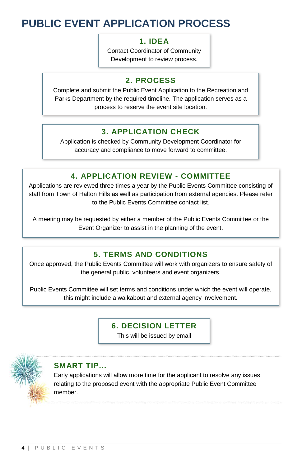## **PUBLIC EVENT APPLICATION PROCESS**

### **1. IDEA**

Contact Coordinator of Community Development to review process.

### **2. PROCESS**

Complete and submit the Public Event Application to the Recreation and Parks Department by the required timeline. The application serves as a process to reserve the event site location.

### **3. APPLICATION CHECK**

Application is checked by Community Development Coordinator for accuracy and compliance to move forward to committee.

### **4. APPLICATION REVIEW - COMMITTEE**

Applications are reviewed three times a year by the Public Events Committee consisting of staff from Town of Halton Hills as well as participation from external agencies. Please refer to the Public Events Committee contact list.

A meeting may be requested by either a member of the Public Events Committee or the Event Organizer to assist in the planning of the event.

### **5. TERMS AND CONDITIONS**

Once approved, the Public Events Committee will work with organizers to ensure safety of the general public, volunteers and event organizers.

Public Events Committee will set terms and conditions under which the event will operate, this might include a walkabout and external agency involvement.

#### **6. DECISION LETTER**

This will be issued by email



### **SMART TIP...**

Early applications will allow more time for the applicant to resolve any issues relating to the proposed event with the appropriate Public Event Committee member.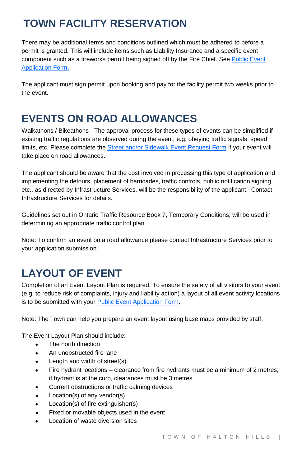# **TOWN FACILITY RESERVATION**

There may be additional terms and conditions outlined which must be adhered to before a permit is granted. This will include items such as Liability Insurance and a specific event component such as a fireworks permit being signed off by the Fire Chief. See Public Event [Application Form.](https://hub.haltonhills.ca/Resource/Corporate%20Forms%20and%20Templates/Public%20Event%20Application%20Form.pdf)

The applicant must sign permit upon booking and pay for the facility permit two weeks prior to the event.

### **EVENTS ON ROAD ALLOWANCES**

Walkathons / Bikeathons - The approval process for these types of events can be simplified if existing traffic regulations are observed during the event, e.g. obeying traffic signals, speed limits, etc. Please complete the [Street and/or Sidewalk Event Request Form](file://recsharepc/Parks%20HD%20Shared%20Files/_PARKS%20AND%20OPEN%20SPACE/_Community%20Development/EVENTS/PUBLIC%20EVENTS/ADMIN/Mailings/2017%20Package/StreetandorSidewalkEventRequestForm2014.pdf) if your event will take place on road allowances.

The applicant should be aware that the cost involved in processing this type of application and implementing the detours, placement of barricades, traffic controls, public notification signing, etc., as directed by Infrastructure Services, will be the responsibility of the applicant. Contact Infrastructure Services for details.

Guidelines set out in Ontario Traffic Resource Book 7, Temporary Conditions, will be used in determining an appropriate traffic control plan.

Note: To confirm an event on a road allowance please contact Infrastructure Services prior to your application submission.

# **LAYOUT OF EVENT**

Completion of an Event Layout Plan is required. To ensure the safety of all visitors to your event (e.g. to reduce risk of complaints, injury and liability action) a layout of all event activity locations is to be submitted with your **Public Event Application Form.** 

Note: The Town can help you prepare an event layout using base maps provided by staff.

The Event Layout Plan should include:

- . The north direction
- An unobstructed fire lane
- Length and width of street(s)
- Fire hydrant locations clearance from fire hydrants must be a minimum of 2 metres; if hydrant is at the curb, clearances must be 3 metres
- Current obstructions or traffic calming devices
- Location(s) of any vendor(s)
- Location(s) of fire extinguisher(s)
- Fixed or movable objects used in the event
- Location of waste diversion sites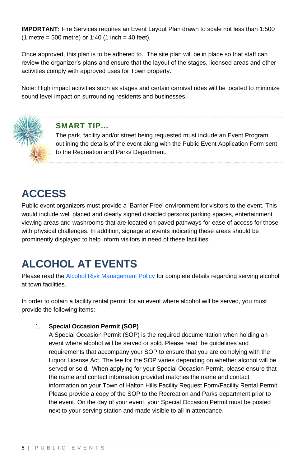**IMPORTANT:** Fire Services requires an Event Layout Plan drawn to scale not less than 1:500  $(1$  metre = 500 metre) or 1:40  $(1$  inch = 40 feet).

Once approved, this plan is to be adhered to. The site plan will be in place so that staff can review the organizer's plans and ensure that the layout of the stages, licensed areas and other activities comply with approved uses for Town property.

Note: High impact activities such as stages and certain carnival rides will be located to minimize sound level impact on surrounding residents and businesses.



### **SMART TIP...**

The park, facility and/or street being requested must include an Event Program outlining the details of the event along with the Public Event Application Form sent to the Recreation and Parks Department.

### **ACCESS**

Public event organizers must provide a 'Barrier Free' environment for visitors to the event. This would include well placed and clearly signed disabled persons parking spaces, entertainment viewing areas and washrooms that are located on paved pathways for ease of access for those with physical challenges. In addition, signage at events indicating these areas should be prominently displayed to help inform visitors in need of these facilities.

### **ALCOHOL AT EVENTS**

Please read th[e Alcohol Risk Management Policy](https://www.haltonhills.ca/policies/pdf/AlcoholProcedures.pdf) for complete details regarding serving alcohol at town facilities.

In order to obtain a facility rental permit for an event where alcohol will be served, you must provide the following items:

#### 1. **Special Occasion Permit (SOP)**

A Special Occasion Permit (SOP) is the required documentation when holding an event where alcohol will be served or sold. Please read the guidelines and requirements that accompany your SOP to ensure that you are complying with the Liquor License Act. The fee for the SOP varies depending on whether alcohol will be served or sold. When applying for your Special Occasion Permit, please ensure that the name and contact information provided matches the name and contact information on your Town of Halton Hills Facility Request Form/Facility Rental Permit. Please provide a copy of the SOP to the Recreation and Parks department prior to the event. On the day of your event, your Special Occasion Permit must be posted next to your serving station and made visible to all in attendance.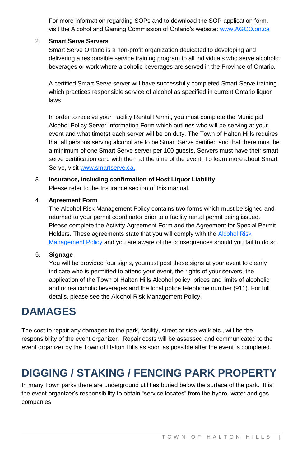For more information regarding SOPs and to download the SOP application form, visit the Alcohol and Gaming Commission of Ontario's website[: www.AGCO.on.ca](http://www.agco.on.ca/)

#### 2. **Smart Serve Servers**

Smart Serve Ontario is a non-profit organization dedicated to developing and delivering a responsible service training program to all individuals who serve alcoholic beverages or work where alcoholic beverages are served in the Province of Ontario.

A certified Smart Serve server will have successfully completed Smart Serve training which practices responsible service of alcohol as specified in current Ontario liquor laws.

In order to receive your Facility Rental Permit, you must complete the Municipal Alcohol Policy Server Information Form which outlines who will be serving at your event and what time(s) each server will be on duty. The Town of Halton Hills requires that all persons serving alcohol are to be Smart Serve certified and that there must be a minimum of one Smart Serve server per 100 guests. Servers must have their smart serve certification card with them at the time of the event. To learn more about Smart Serve, visi[t www.smartserve.ca.](file://vsfile2008/User_Area/_Recreation/Temporary%20Files/Public-Events-MSWord/www.smartserve.ca)

### 3. **Insurance, including confirmation of Host Liquor Liability**

Please refer to the Insurance section of this manual.

#### 4. **Agreement Form**

The Alcohol Risk Management Policy contains two forms which must be signed and returned to your permit coordinator prior to a facility rental permit being issued. Please complete the Activity Agreement Form and the Agreement for Special Permit Holders. These agreements state that you will comply with the [Alcohol Risk](https://www.haltonhills.ca/policies/pdf/AlcoholProcedures.pdf)  [Management Policy](https://www.haltonhills.ca/policies/pdf/AlcoholProcedures.pdf) and you are aware of the consequences should you fail to do so.

#### 5. **Signage**

You will be provided four signs, youmust post these signs at your event to clearly indicate who is permitted to attend your event, the rights of your servers, the application of the Town of Halton Hills Alcohol policy, prices and limits of alcoholic and non-alcoholic beverages and the local police telephone number (911). For full details, please see the Alcohol Risk Management Policy.

### **DAMAGES**

The cost to repair any damages to the park, facility, street or side walk etc., will be the responsibility of the event organizer. Repair costs will be assessed and communicated to the event organizer by the Town of Halton Hills as soon as possible after the event is completed.

### **DIGGING / STAKING / FENCING PARK PROPERTY**

In many Town parks there are underground utilities buried below the surface of the park. It is the event organizer's responsibility to obtain "service locates" from the hydro, water and gas companies.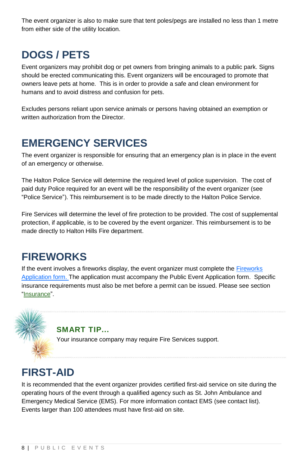The event organizer is also to make sure that tent poles/pegs are installed no less than 1 metre from either side of the utility location.

### **DOGS / PETS**

Event organizers may prohibit dog or pet owners from bringing animals to a public park. Signs should be erected communicating this. Event organizers will be encouraged to promote that owners leave pets at home. This is in order to provide a safe and clean environment for humans and to avoid distress and confusion for pets.

Excludes persons reliant upon service animals or persons having obtained an exemption or written authorization from the Director.

### **EMERGENCY SERVICES**

The event organizer is responsible for ensuring that an emergency plan is in place in the event of an emergency or otherwise.

The Halton Police Service will determine the required level of police supervision. The cost of paid duty Police required for an event will be the responsibility of the event organizer (see ["Police Service"](#page-11-0)). This reimbursement is to be made directly to the Halton Police Service.

Fire Services will determine the level of fire protection to be provided. The cost of supplemental protection, if applicable, is to be covered by the event organizer. This reimbursement is to be made directly to Halton Hills Fire department.

### **FIREWORKS**

If the event involves a fireworks display, the event organizer must complete the [Fireworks](https://hub.haltonhills.ca/Resource/Corporate%20Forms%20and%20Templates/Family%20Fireworks%20Permit%20Application.pdf)  [Application form.](https://hub.haltonhills.ca/Resource/Corporate%20Forms%20and%20Templates/Family%20Fireworks%20Permit%20Application.pdf) The application must accompany the Public Event Application form. Specific insurance requirements must also be met before a permit can be issued. Please see section ["Insurance"](#page-9-0).



#### **SMART TIP...**

Your insurance company may require Fire Services support.

### **FIRST-AID**

It is recommended that the event organizer provides certified first-aid service on site during the operating hours of the event through a qualified agency such as St. John Ambulance and Emergency Medical Service (EMS). For more information contact EMS (see contact list). Events larger than 100 attendees must have first-aid on site.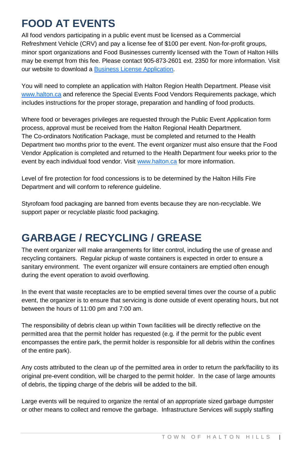### **FOOD AT EVENTS**

All food vendors participating in a public event must be licensed as a Commercial Refreshment Vehicle (CRV) and pay a license fee of \$100 per event. Non-for-profit groups, minor sport organizations and Food Businesses currently licensed with the Town of Halton Hills may be exempt from this fee. Please contact 905-873-2601 ext. 2350 for more information. Visit our website to download [a Business License Application.](https://hub.haltonhills.ca/Resource/Corporate%20Forms%20and%20Templates/Business%20Licence%20Application.pdf)

You will need to complete an application with Halton Region Health Department. Please visit [www.halton.ca](file://vsfile2008/User_Area/_Recreation/Temporary%20Files/Public-Events-MSWord/www.halton.ca) and reference the Special Events Food Vendors Requirements package, which includes instructions for the proper storage, preparation and handling of food products.

Where food or beverages privileges are requested through the Public Event Application form process, approval must be received from the Halton Regional Health Department. The Co-ordinators Notification Package, must be completed and returned to the Health Department two months prior to the event. The event organizer must also ensure that the Food Vendor Application is completed and returned to the Health Department four weeks prior to the event by each individual food vendor. Visit [www.halton.ca](file://vsfile2008/User_Area/_Recreation/Temporary%20Files/Public-Events-MSWord/www.halton.ca) for more information.

Level of fire protection for food concessions is to be determined by the Halton Hills Fire Department and will conform to reference guideline.

Styrofoam food packaging are banned from events because they are non-recyclable. We support paper or recyclable plastic food packaging.

## **GARBAGE / RECYCLING / GREASE**

The event organizer will make arrangements for litter control, including the use of grease and recycling containers. Regular pickup of waste containers is expected in order to ensure a sanitary environment. The event organizer will ensure containers are emptied often enough during the event operation to avoid overflowing.

In the event that waste receptacles are to be emptied several times over the course of a public event, the organizer is to ensure that servicing is done outside of event operating hours, but not between the hours of 11:00 pm and 7:00 am.

The responsibility of debris clean up within Town facilities will be directly reflective on the permitted area that the permit holder has requested (e.g. if the permit for the public event encompasses the entire park, the permit holder is responsible for all debris within the confines of the entire park).

Any costs attributed to the clean up of the permitted area in order to return the park/facility to its original pre-event condition, will be charged to the permit holder. In the case of large amounts of debris, the tipping charge of the debris will be added to the bill.

Large events will be required to organize the rental of an appropriate sized garbage dumpster or other means to collect and remove the garbage. Infrastructure Services will supply staffing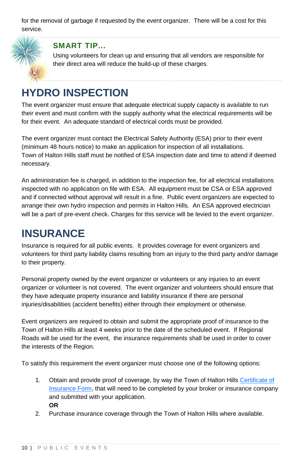for the removal of garbage if requested by the event organizer. There will be a cost for this service.



### **SMART TIP...**

Using volunteers for clean up and ensuring that all vendors are responsible for their direct area will reduce the build-up of these charges.

### **HYDRO INSPECTION**

The event organizer must ensure that adequate electrical supply capacity is available to run their event and must confirm with the supply authority what the electrical requirements will be for their event. An adequate standard of electrical cords must be provided.

The event organizer must contact the Electrical Safety Authority (ESA) prior to their event (minimum 48 hours notice) to make an application for inspection of all installations. Town of Halton Hills staff must be notified of ESA inspection date and time to attend if deemed necessary.

An administration fee is charged, in addition to the inspection fee, for all electrical installations inspected with no application on file with ESA. All equipment must be CSA or ESA approved and if connected without approval will result in a fine. Public event organizers are expected to arrange their own hydro inspection and permits in Halton Hills. An ESA approved electrician will be a part of pre-event check. Charges for this service will be levied to the event organizer.

### <span id="page-9-0"></span>**INSURANCE**

Insurance is required for all public events. It provides coverage for event organizers and volunteers for third party liability claims resulting from an injury to the third party and/or damage to their property.

Personal property owned by the event organizer or volunteers or any injuries to an event organizer or volunteer is not covered. The event organizer and volunteers should ensure that they have adequate property insurance and liability insurance if there are personal injuries/disabilities (accident benefits) either through their employment or otherwise.

Event organizers are required to obtain and submit the appropriate proof of insurance to the Town of Halton Hills at least 4 weeks prior to the date of the scheduled event. If Regional Roads will be used for the event, th[e insurance requirements](http://www.haltonhills.ca/forms/pdf/PublicEventsInsuranceRequirements.pdf) shall be used in order to cover the interests of the Region.

To satisfy this requirement the event organizer must choose one of the following options:

- 1. Obtain and provide proof of coverage, by way the Town of Halton Hill[s Certificate of](http://www.haltonhills.ca/usergroups/pdf/General/Insurance%20Certificate.pdf)  [Insurance Form,](http://www.haltonhills.ca/usergroups/pdf/General/Insurance%20Certificate.pdf) that will need to be completed by your broker or insurance company and submitted with your application. **OR**
- 2. Purchase insurance coverage through the Town of Halton Hills where available.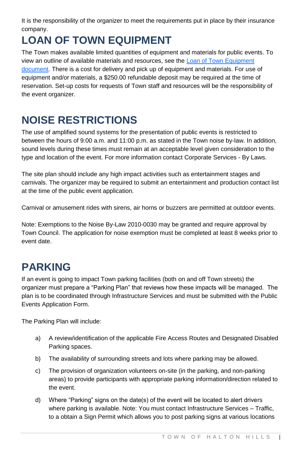It is the responsibility of the organizer to meet the requirements put in place by their insurance company.

# **LOAN OF TOWN EQUIPMENT**

The Town makes available limited quantities of equipment and materials for public events. To view an outline of available materials and resources, see th[e Loan of Town Equipment](file://recsharepc/Parks%20HD%20Shared%20Files/_PARKS%20AND%20OPEN%20SPACE/_Community%20Development/EVENTS/PUBLIC%20EVENTS/LOAN%20OF%20EQUIPMENT/2019/LoanofTownEquipment%202019.pdf)  [document.](file://recsharepc/Parks%20HD%20Shared%20Files/_PARKS%20AND%20OPEN%20SPACE/_Community%20Development/EVENTS/PUBLIC%20EVENTS/LOAN%20OF%20EQUIPMENT/2019/LoanofTownEquipment%202019.pdf) There is a cost for delivery and pick up of equipment and materials. For use of equipment and/or materials, a \$250.00 refundable deposit may be required at the time of reservation. Set-up costs for requests of Town staff and resources will be the responsibility of the event organizer.

# **NOISE RESTRICTIONS**

The use of amplified sound systems for the presentation of public events is restricted to between the hours of 9:00 a.m. and 11:00 p.m. as stated in the Town noise by-law. In addition, sound levels during these times must remain at an acceptable level given consideration to the type and location of the event. For more information contact Corporate Services - By Laws.

The site plan should include any high impact activities such as entertainment stages and carnivals. The organizer may be required to submit an entertainment and production contact list at the time of the public event application.

Carnival or amusement rides with sirens, air horns or buzzers are permitted at outdoor events.

Note: Exemptions to the Noise By-Law 2010-0030 may be granted and require approval by Town Council. The application for noise exemption must be completed at least 8 weeks prior to event date.

### **PARKING**

If an event is going to impact Town parking facilities (both on and off Town streets) the organizer must prepare a "Parking Plan" that reviews how these impacts will be managed. The plan is to be coordinated through Infrastructure Services and must be submitted with the Public Events Application Form.

The Parking Plan will include:

- a) A review/identification of the applicable Fire Access Routes and Designated Disabled Parking spaces.
- b) The availability of surrounding streets and lots where parking may be allowed.
- c) The provision of organization volunteers on-site (in the parking, and non-parking areas) to provide participants with appropriate parking information/direction related to the event.
- d) Where "Parking" signs on the date(s) of the event will be located to alert drivers where parking is available. Note: You must contact Infrastructure Services – Traffic, to a obtain a Sign Permit which allows you to post parking signs at various locations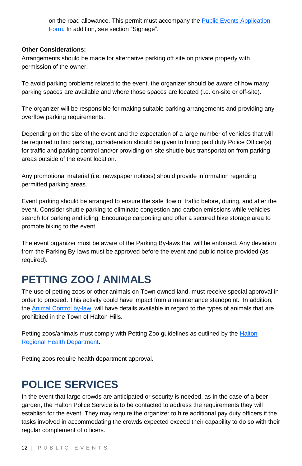on the road allowance. This permit must accompany th[e Public Events Application](file://recsharepc/Parks%20HD%20Shared%20Files/_PARKS%20AND%20OPEN%20SPACE/_Community%20Development/EVENTS/PUBLIC%20EVENTS/ADMIN/Mailings/2019%20Package/Public%20Event%20Application%20Form%202019.pdf)  [Form.](file://recsharepc/Parks%20HD%20Shared%20Files/_PARKS%20AND%20OPEN%20SPACE/_Community%20Development/EVENTS/PUBLIC%20EVENTS/ADMIN/Mailings/2019%20Package/Public%20Event%20Application%20Form%202019.pdf) In addition, see section ["Signage"](#page-14-0).

#### **Other Considerations:**

Arrangements should be made for alternative parking off site on private property with permission of the owner.

To avoid parking problems related to the event, the organizer should be aware of how many parking spaces are available and where those spaces are located (i.e. on-site or off-site).

The organizer will be responsible for making suitable parking arrangements and providing any overflow parking requirements.

Depending on the size of the event and the expectation of a large number of vehicles that will be required to find parking, consideration should be given to hiring paid duty Police Officer(s) for traffic and parking control and/or providing on-site shuttle bus transportation from parking areas outside of the event location.

Any promotional material (i.e. newspaper notices) should provide information regarding permitted parking areas.

Event parking should be arranged to ensure the safe flow of traffic before, during, and after the event. Consider shuttle parking to eliminate congestion and carbon emissions while vehicles search for parking and idling. Encourage carpooling and offer a secured bike storage area to promote biking to the event.

The event organizer must be aware of the Parking By-laws that will be enforced. Any deviation from the Parking By-laws must be approved before the event and public notice provided (as required).

### **PETTING ZOO / ANIMALS**

The use of petting zoos or other animals on Town owned land, must receive special approval in order to proceed. This activity could have impact from a maintenance standpoint. In addition, th[e Animal Control by-law,](https://www.haltonhills.ca/bylaws/index.php) will have details available in regard to the types of animals that are prohibited in the Town of Halton Hills.

Petting zoos/animals must comply with Petting Zoo guidelines as outlined by th[e Halton](http://www.halton.ca/)  [Regional Health Department.](http://www.halton.ca/)

<span id="page-11-0"></span>Petting zoos require health department approval.

### **POLICE SERVICES**

In the event that large crowds are anticipated or security is needed, as in the case of a beer garden, the Halton Police Service is to be contacted to address the requirements they will establish for the event. They may require the organizer to hire additional pay duty officers if the tasks involved in accommodating the crowds expected exceed their capability to do so with their regular complement of officers.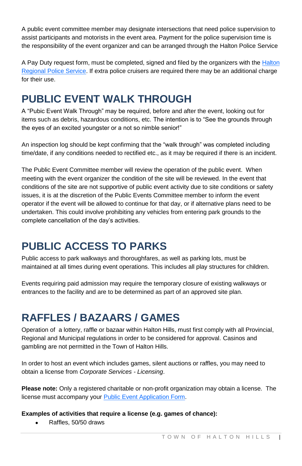A public event committee member may designate intersections that need police supervision to assist participants and motorists in the event area. Payment for the police supervision time is the responsibility of the event organizer and can be arranged through the Halton Police Service

A Pay Duty request form, must be completed, signed and filed by the organizers with the Halton [Regional Police Service.](http://www.hrps.on.ca/) If extra police cruisers are required there may be an additional charge for their use.

## **PUBLIC EVENT WALK THROUGH**

A "Pubic Event Walk Through" may be required, before and after the event, looking out for items such as debris, hazardous conditions, etc. The intention is to "See the grounds through the eyes of an excited youngster or a not so nimble senior!"

An inspection log should be kept confirming that the "walk through" was completed including time/date, if any conditions needed to rectified etc., as it may be required if there is an incident.

The Public Event Committee member will review the operation of the public event. When meeting with the event organizer the condition of the site will be reviewed. In the event that conditions of the site are not supportive of public event activity due to site conditions or safety issues, it is at the discretion of the Public Events Committee member to inform the event operator if the event will be allowed to continue for that day, or if alternative plans need to be undertaken. This could involve prohibiting any vehicles from entering park grounds to the complete cancellation of the day's activities.

# **PUBLIC ACCESS TO PARKS**

Public access to park walkways and thoroughfares, as well as parking lots, must be maintained at all times during event operations. This includes all play structures for children.

Events requiring paid admission may require the temporary closure of existing walkways or entrances to the facility and are to be determined as part of an approved site plan.

### **RAFFLES / BAZAARS / GAMES**

Operation of a lottery, raffle or bazaar within Halton Hills, must first comply with all Provincial, Regional and Municipal regulations in order to be considered for approval. Casinos and gambling are not permitted in the Town of Halton Hills.

In order to host an event which includes games, silent auctions or raffles, you may need to obtain a license from *Corporate Services - Licensing*.

**Please note:** Only a registered charitable or non-profit organization may obtain a license. The license must accompany your [Public Event Application Form.](file://recsharepc/Parks%20HD%20Shared%20Files/_PARKS%20AND%20OPEN%20SPACE/_Community%20Development/EVENTS/PUBLIC%20EVENTS/ADMIN/Mailings/2019%20Package/Public%20Event%20Application%20Form%202019.pdf)

#### **Examples of activities that require a license (e.g. games of chance):**

Raffles, 50/50 draws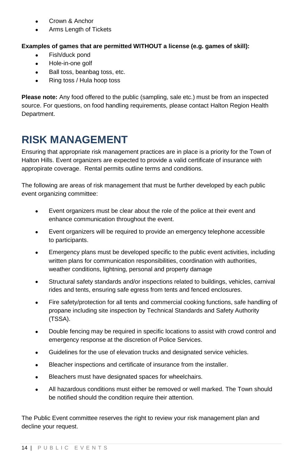- Crown & Anchor
- Arms Length of Tickets

#### **Examples of games that are permitted WITHOUT a license (e.g. games of skill):**

- Fish/duck pond
- Hole-in-one golf
- Ball toss, beanbag toss, etc.
- Ring toss / Hula hoop toss

**Please note:** Any food offered to the public (sampling, sale etc.) must be from an inspected source. For questions, on food handling requirements, please contact [Halton Region Health](http://www.halton.ca/)  [Department.](http://www.halton.ca/)

### **RISK MANAGEMENT**

Ensuring that appropriate risk management practices are in place is a priority for the Town of Halton Hills. Event organizers are expected to provide a valid certificate of insurance with appropirate coverage. Rental permits outline terms and conditions.

The following are areas of risk management that must be further developed by each public event organizing committee:

- Event organizers must be clear about the role of the police at their event and enhance communication throughout the event.
- Event organizers will be required to provide an emergency telephone accessible to participants.
- Emergency plans must be developed specific to the public event activities, including written plans for communication responsibilities, coordination with authorities, weather conditions, lightning, personal and property damage
- Structural safety standards and/or inspections related to buildings, vehicles, carnival rides and tents, ensuring safe egress from tents and fenced enclosures.
- Fire safety/protection for all tents and commercial cooking functions, safe handling of propane including site inspection by Technical Standards and Safety Authority (TSSA).
- Double fencing may be required in specific locations to assist with crowd control and emergency response at the discretion of Police Services.
- Guidelines for the use of elevation trucks and designated service vehicles.
- Bleacher inspections and certificate of insurance from the installer.
- **Bleachers must have designated spaces for wheelchairs.**
- All hazardous conditions must either be removed or well marked. The Town should be notified should the condition require their attention.

The Public Event committee reserves the right to review your risk management plan and decline your request.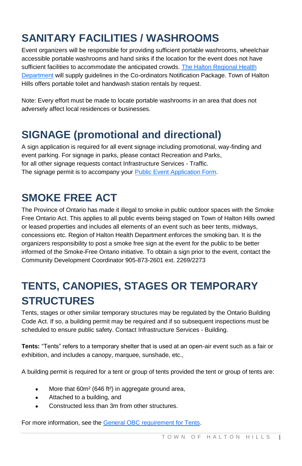# **SANITARY FACILITIES / WASHROOMS**

Event organizers will be responsible for providing sufficient portable washrooms, wheelchair accessible portable washrooms and hand sinks if the location for the event does not have sufficient facilities to accommodate the anticipated crowds. The Halton Regional Health **[Department](http://www.halton.ca/) will supply guidelines in the Co-ordinators Notification Package. Town of Halton** Hills offers portable toilet and handwash station rentals by request.

Note: Every effort must be made to locate portable washrooms in an area that does not adversely affect local residences or businesses.

### <span id="page-14-0"></span>**SIGNAGE (promotional and directional)**

A sign application is required for all event signage including promotional, way-finding and event parking. For signage in parks, please contact Recreation and Parks, for all other signage requests contact Infrastructure Services - Traffic. The signage permit is to accompany your [Public Event Application Form.](file://recsharepc/Parks%20HD%20Shared%20Files/_PARKS%20AND%20OPEN%20SPACE/_Community%20Development/EVENTS/PUBLIC%20EVENTS/ADMIN/Mailings/2019%20Package/Public%20Event%20Application%20Form%202019.pdf)

### **SMOKE FREE ACT**

The Province of Ontario has made it illegal to smoke in public outdoor spaces with the Smoke Free Ontario Act. This applies to all public events being staged on Town of Halton Hills owned or leased properties and includes all elements of an event such as beer tents, midways, concessions etc. Region of Halton Health Department enforces the smoking ban. It is the organizers responsibility to post a smoke free sign at the event for the public to be better informed of the Smoke-Free Ontario initiative. To obtain a sign prior to the event, contact the Community Development Coordinator 905-873-2601 ext. 2269/2273

# **TENTS, CANOPIES, STAGES OR TEMPORARY STRUCTURES**

Tents, stages or other similar temporary structures may be regulated by the Ontario Building Code Act. If so, a building permit may be required and if so subsequent inspections must be scheduled to ensure public safety. Contact Infrastructure Services - Buildin[g.](http://www.obc.mah.gov.on.ca/AssetFactory.aspx?did=824)

**Tents:** "Tents" refers to a temporary shelter that is used at an open-air event such as a fair or exhibition, and includes a canopy, marquee, sunshade, etc.,

A building permit is required for a tent or group of tents provided the tent or group of tents are:

- More that 60m<sup>2</sup> (646 ft<sup>2</sup>) in aggregate ground area,
- Attached to a building, and
- Constructed less than 3m from other structures.

For more information, see th[e General OBC requirement for Tents.](https://www.haltonhills.ca/BuildingPermits/index.php)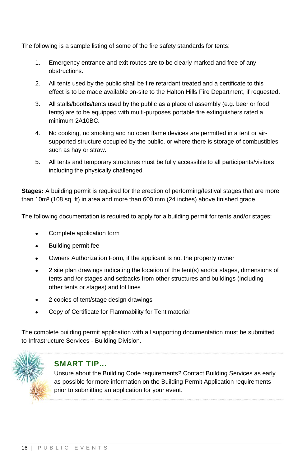The following is a sample listing of some of the fire safety standards for tents:

- 1. Emergency entrance and exit routes are to be clearly marked and free of any obstructions.
- 2. All tents used by the public shall be fire retardant treated and a certificate to this effect is to be made available on-site to the Halton Hills Fire Department, if requested.
- 3. All stalls/booths/tents used by the public as a place of assembly (e.g. beer or food tents) are to be equipped with multi-purposes portable fire extinguishers rated a minimum 2A10BC.
- 4. No cooking, no smoking and no open flame devices are permitted in a tent or airsupported structure occupied by the public, or where there is storage of combustibles such as hay or straw.
- 5. All tents and temporary structures must be fully accessible to all participants/visitors including the physically challenged.

**Stages:** A building permit is required for the erection of performing/festival stages that are more than 10m² (108 sq. ft) in area and more than 600 mm (24 inches) above finished grade.

The following documentation is required to apply for a building permit for tents and/or stages:

- Complete application form
- Building permit fee
- Owners Authorization Form, if the applicant is not the property owner
- 2 site plan drawings indicating the location of the tent(s) and/or stages, dimensions of tents and /or stages and setbacks from other structures and buildings (including other tents or stages) and lot lines
- 2 copies of tent/stage design drawings
- Copy of Certificate for Flammability for Tent material

The complete building permit application with all supporting documentation must be submitted to Infrastructure Services - Building Division.



### **SMART TIP...**

Unsure about the Building Code requirements? Contact Building Services as early as possible for more information on the Building Permit Application requirements prior to submitting an application for your event.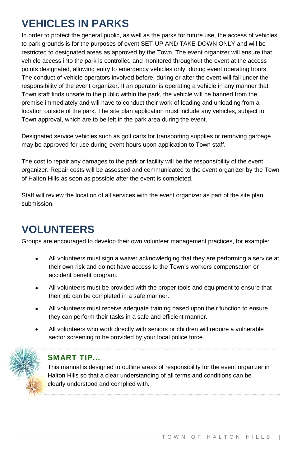# **VEHICLES IN PARKS**

In order to protect the general public, as well as the parks for future use, the access of vehicles to park grounds is for the purposes of event SET-UP AND TAKE-DOWN ONLY and will be restricted to designated areas as approved by the Town. The event organizer will ensure that vehicle access into the park is controlled and monitored throughout the event at the access points designated, allowing entry to emergency vehicles only, during event operating hours. The conduct of vehicle operators involved before, during or after the event will fall under the responsibility of the event organizer. If an operator is operating a vehicle in any manner that Town staff finds unsafe to the public within the park, the vehicle will be banned from the premise immediately and will have to conduct their work of loading and unloading from a location outside of the park. The site plan application must include any vehicles, subject to Town approval, which are to be left in the park area during the event.

Designated service vehicles such as golf carts for transporting supplies or removing garbage may be approved for use during event hours upon application to Town staff.

The cost to repair any damages to the park or facility will be the responsibility of the event organizer. Repair costs will be assessed and communicated to the event organizer by the Town of Halton Hills as soon as possible after the event is completed.

Staff will review the location of all services with the event organizer as part of the site plan submission.

## **VOLUNTEERS**

Groups are encouraged to develop their own volunteer management practices, for example:

- All volunteers must sign a waiver acknowledging that they are performing a service at their own risk and do not have access to the Town's workers compensation or accident benefit program.
- All volunteers must be provided with the proper tools and equipment to ensure that their job can be completed in a safe manner.
- All volunteers must receive adequate training based upon their function to ensure they can perform their tasks in a safe and efficient manner.
- All volunteers who work directly with seniors or children will require a vulnerable sector screening to be provided by your local police force.



### **SMART TIP...**

This manual is designed to outline areas of responsibility for the event organizer in Halton Hills so that a clear understanding of all terms and conditions can be clearly understood and complied with.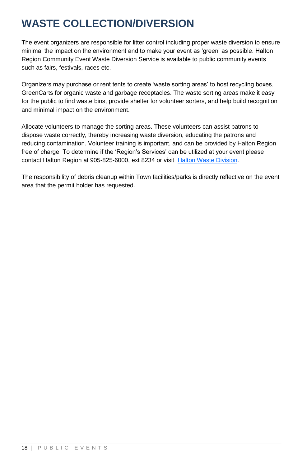## **WASTE COLLECTION/DIVERSION**

The event organizers are responsible for litter control including proper waste diversion to ensure minimal the impact on the environment and to make your event as 'green' as possible. Halton Region Community Event Waste Diversion Service is available to public community events such as fairs, festivals, races etc.

Organizers may purchase or rent tents to create 'waste sorting areas' to host recycling boxes, GreenCarts for organic waste and garbage receptacles. The waste sorting areas make it easy for the public to find waste bins, provide shelter for volunteer sorters, and help build recognition and minimal impact on the environment.

Allocate volunteers to manage the sorting areas. These volunteers can assist patrons to dispose waste correctly, thereby increasing waste diversion, educating the patrons and reducing contamination. Volunteer training is important, and can be provided by Halton Region free of charge. To determine if the 'Region's Services' can be utilized at your event please contact Halton Region at 905-825-6000, ext 8234 or visit [Halton Waste Division.](http://www.halton.ca/waste)

The responsibility of debris cleanup within Town facilities/parks is directly reflective on the event area that the permit holder has requested.